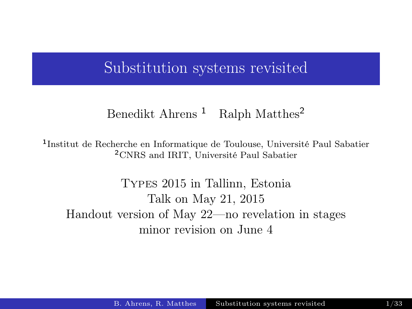#### Substitution systems revisited

#### <span id="page-0-0"></span>Benedikt Ahrens <sup>1</sup> Ralph Matthes<sup>2</sup>

1 Institut de Recherche en Informatique de Toulouse, Université Paul Sabatier <sup>2</sup>CNRS and IRIT, Université Paul Sabatier

Types 2015 in Tallinn, Estonia Talk on May 21, 2015 Handout version of May 22—no revelation in stages minor revision on June 4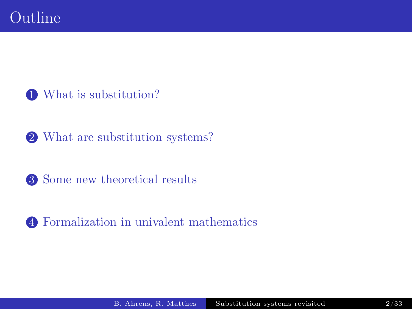[What is substitution?](#page-2-0)

[What are substitution systems?](#page-11-0)

[Some new theoretical results](#page-19-0)

[Formalization in univalent mathematics](#page-24-0)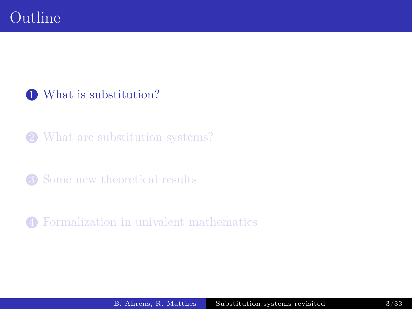#### [What is substitution?](#page-2-0)

#### [What are substitution systems?](#page-11-0)

#### [Some new theoretical results](#page-19-0)

<span id="page-2-0"></span>[Formalization in univalent mathematics](#page-24-0)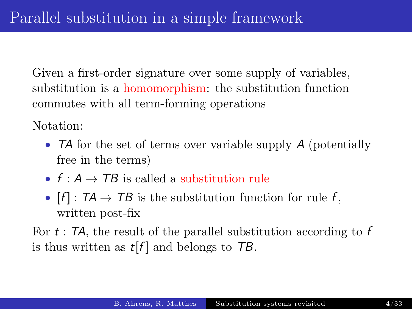Given a first-order signature over some supply of variables, substitution is a homomorphism: the substitution function commutes with all term-forming operations

Notation:

- **TA** for the set of terms over variable supply A (potentially free in the terms)
- $f : A \rightarrow TB$  is called a substitution rule
- $[f] : T\mathcal{A} \to T\mathcal{B}$  is the substitution function for rule f, written post-fix

For  $t$ : TA, the result of the parallel substitution according to  $f$ is thus written as  $t[f]$  and belongs to  $TB$ .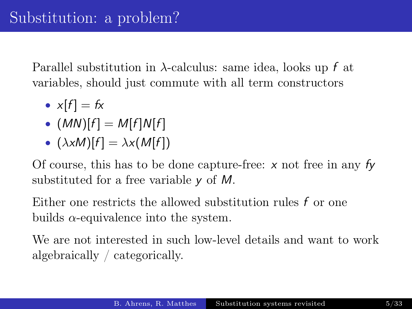Parallel substitution in  $\lambda$ -calculus: same idea, looks up f at variables, should just commute with all term constructors

- $x[f] = fx$
- $(MN)[f] = M[f]N[f]$
- $(\lambda xM)[f] = \lambda x(M[f])$

Of course, this has to be done capture-free:  $x$  not free in any  $f_y$ substituted for a free variable y of M.

Either one restricts the allowed substitution rules f or one builds  $\alpha$ -equivalence into the system.

We are not interested in such low-level details and want to work algebraically / categorically.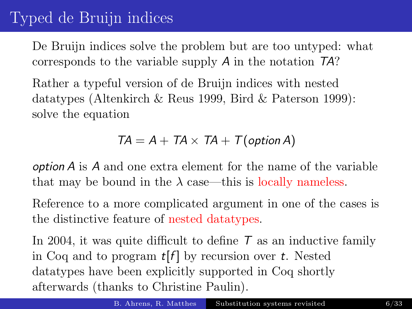# Typed de Bruijn indices

De Bruijn indices solve the problem but are too untyped: what corresponds to the variable supply A in the notation TA?

Rather a typeful version of de Bruijn indices with nested datatypes (Altenkirch & Reus 1999, Bird & Paterson 1999): solve the equation

#### $TA = A + TA \times TA + T(\text{option } A)$

option A is A and one extra element for the name of the variable that may be bound in the  $\lambda$  case—this is locally nameless.

Reference to a more complicated argument in one of the cases is the distinctive feature of nested datatypes.

In 2004, it was quite difficult to define  $T$  as an inductive family in Coq and to program  $t[f]$  by recursion over t. Nested datatypes have been explicitly supported in Coq shortly afterwards (thanks to Christine Paulin).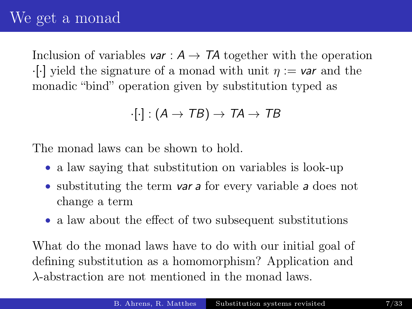Inclusion of variables var :  $A \rightarrow TA$  together with the operation  $\cdot$ [·] yield the signature of a monad with unit  $\eta := \mathbf{var}$  and the monadic "bind" operation given by substitution typed as

$$
\cdot [\cdot] : (A \to TB) \to TA \to TB
$$

The monad laws can be shown to hold.

- a law saying that substitution on variables is look-up
- substituting the term var a for every variable a does not change a term
- a law about the effect of two subsequent substitutions

What do the monad laws have to do with our initial goal of defining substitution as a homomorphism? Application and λ-abstraction are not mentioned in the monad laws.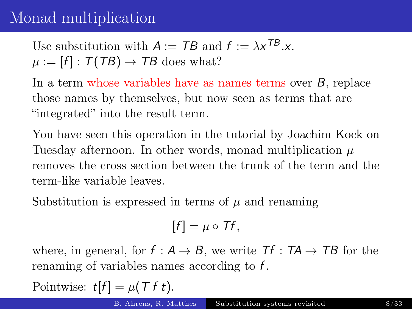# Monad multiplication

Use substitution with  $A := TB$  and  $f := \lambda x^{TB}.x$ .  $\mu := [f] : \mathcal{T}(TB) \to TB$  does what?

In a term whose variables have as names terms over B, replace those names by themselves, but now seen as terms that are "integrated" into the result term.

You have seen this operation in the tutorial by Joachim Kock on Tuesday afternoon. In other words, monad multiplication  $\mu$ removes the cross section between the trunk of the term and the term-like variable leaves.

Substitution is expressed in terms of  $\mu$  and renaming

$$
[f]=\mu\circ Tf,
$$

where, in general, for  $f : A \rightarrow B$ , we write  $Tf : TA \rightarrow TB$  for the renaming of variables names according to f .

Pointwise:  $t[f] = \mu(T f t)$ .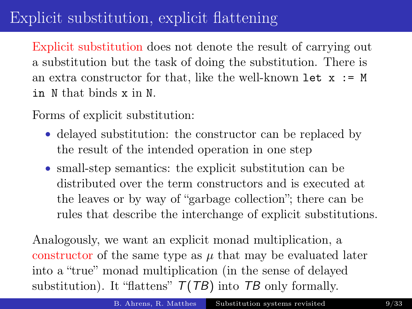# Explicit substitution, explicit flattening

Explicit substitution does not denote the result of carrying out a substitution but the task of doing the substitution. There is an extra constructor for that, like the well-known let  $x := M$ in N that binds x in N.

Forms of explicit substitution:

- delayed substitution: the constructor can be replaced by the result of the intended operation in one step
- small-step semantics: the explicit substitution can be distributed over the term constructors and is executed at the leaves or by way of "garbage collection"; there can be rules that describe the interchange of explicit substitutions.

Analogously, we want an explicit monad multiplication, a constructor of the same type as  $\mu$  that may be evaluated later into a "true" monad multiplication (in the sense of delayed substitution). It "flattens"  $T(TB)$  into TB only formally.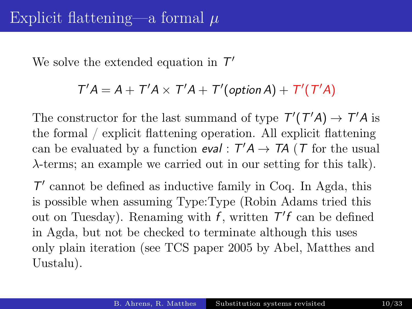We solve the extended equation in  $\mathcal{T}'$ 

#### $T'A = A + T'A \times T'A + T'(\text{option } A) + T'(T'A)$

The constructor for the last summand of type  $T'(T'A) \to T'A$  is the formal / explicit flattening operation. All explicit flattening can be evaluated by a function  $eval : T'A \rightarrow TA$  (T for the usual λ-terms; an example we carried out in our setting for this talk).

 $\mathcal{T}'$  cannot be defined as inductive family in Coq. In Agda, this is possible when assuming Type:Type (Robin Adams tried this out on Tuesday). Renaming with f, written  $T'$ f can be defined in Agda, but not be checked to terminate although this uses only plain iteration (see TCS paper 2005 by Abel, Matthes and Uustalu).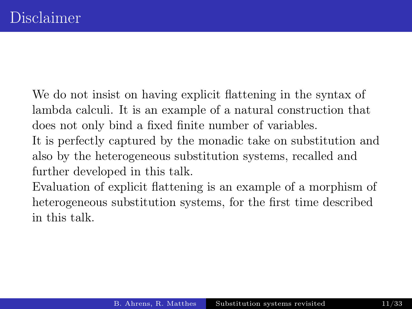We do not insist on having explicit flattening in the syntax of lambda calculi. It is an example of a natural construction that does not only bind a fixed finite number of variables. It is perfectly captured by the monadic take on substitution and also by the heterogeneous substitution systems, recalled and further developed in this talk.

Evaluation of explicit flattening is an example of a morphism of heterogeneous substitution systems, for the first time described in this talk.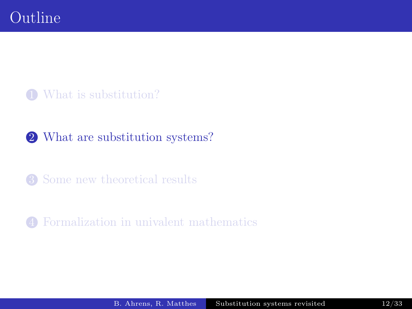#### [What is substitution?](#page-2-0)

#### [What are substitution systems?](#page-11-0)

[Some new theoretical results](#page-19-0)

<span id="page-11-0"></span>[Formalization in univalent mathematics](#page-24-0)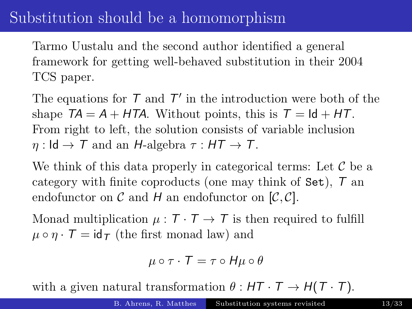## Substitution should be a homomorphism

Tarmo Uustalu and the second author identified a general framework for getting well-behaved substitution in their 2004 TCS paper.

The equations for  $T$  and  $T'$  in the introduction were both of the shape  $TA = A + HTA$ . Without points, this is  $T = Id + HT$ . From right to left, the solution consists of variable inclusion  $\eta: \mathsf{Id} \to \mathcal{T}$  and an H-algebra  $\tau: \mathsf{HT} \to \mathcal{T}$ .

We think of this data properly in categorical terms: Let  $\mathcal C$  be a category with finite coproducts (one may think of Set), T an endofunctor on  $\mathcal C$  and  $H$  an endofunctor on  $[\mathcal C, \mathcal C]$ .

Monad multiplication  $\mu : \mathcal{T} \cdot \mathcal{T} \rightarrow \mathcal{T}$  is then required to fulfill  $\mu \circ \eta \cdot \mathcal{T} = id_{\mathcal{T}}$  (the first monad law) and

$$
\mu \circ \tau \cdot \tau = \tau \circ H\mu \circ \theta
$$

with a given natural transformation  $\theta : HT \cdot T \rightarrow H(T \cdot T)$ .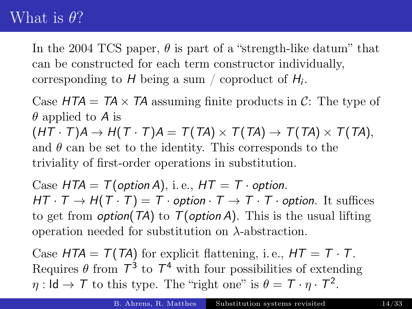#### What is  $\theta$ ?

In the 2004 TCS paper,  $\theta$  is part of a "strength-like datum" that can be constructed for each term constructor individually, corresponding to  $H$  being a sum / coproduct of  $H_i$ .

Case  $HTA = TA \times TA$  assuming finite products in C: The type of  $\theta$  applied to A is  $(HT \cdot T)A \rightarrow H(T \cdot T)A = T(TA) \times T(TA) \rightarrow T(TA) \times T(TA),$ and  $\theta$  can be set to the identity. This corresponds to the triviality of first-order operations in substitution.

Case  $HTA = T(\text{option }A)$ , i.e.,  $HT = T \cdot \text{option}$ .  $HT \cdot T \rightarrow H(T \cdot T) = T \cdot option \cdot T \rightarrow T \cdot T \cdot option$ . It suffices to get from *option*( $TA$ ) to  $T(\text{option } A)$ . This is the usual lifting operation needed for substitution on  $\lambda$ -abstraction.

Case  $HTA = T(TA)$  for explicit flattening, i.e.,  $HT = T \cdot T$ . Requires  $\theta$  from  $T^3$  to  $T^4$  with four possibilities of extending  $\eta: \mathsf{Id} \to \mathcal{T}$  to this type. The "right one" is  $\theta = \mathcal{T} \cdot \eta \cdot \mathcal{T}^2$ .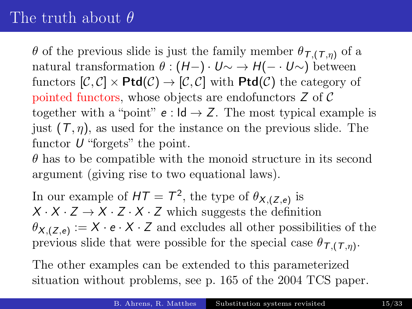# The truth about  $\theta$

θ of the previous slide is just the family member  $θ_{τ,(τ,\eta)}$  of a natural transformation  $\theta$  :  $(H-) \cdot U \sim \rightarrow H(- \cdot U \sim)$  between functors  $[\mathcal{C}, \mathcal{C}] \times \mathsf{Ptd}(\mathcal{C}) \rightarrow [\mathcal{C}, \mathcal{C}]$  with  $\mathsf{Ptd}(\mathcal{C})$  the category of pointed functors, whose objects are endofunctors Z of C together with a "point"  $e : \mathsf{Id} \to \mathsf{Z}$ . The most typical example is just  $(T, \eta)$ , as used for the instance on the previous slide. The functor  $U$  "forgets" the point.

 $\theta$  has to be compatible with the monoid structure in its second argument (giving rise to two equational laws).

In our example of  $HT = T^2$ , the type of  $\theta_{X,(Z,e)}$  is  $X \cdot X \cdot Z \rightarrow X \cdot Z \cdot X \cdot Z$  which suggests the definition  $\theta_{X,(Z,e)} := X \cdot e \cdot X \cdot Z$  and excludes all other possibilities of the previous slide that were possible for the special case  $\theta_{\tau,(\tau,\eta)}$ .

The other examples can be extended to this parameterized situation without problems, see p. 165 of the 2004 TCS paper.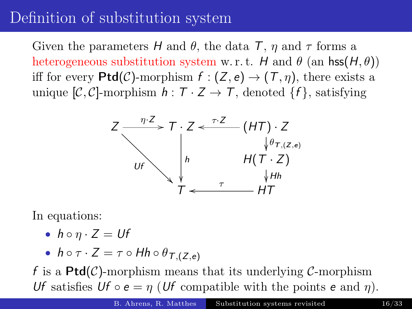#### Definition of substitution system

Given the parameters H and  $\theta$ , the data T,  $\eta$  and  $\tau$  forms a heterogeneous substitution system w.r.t. H and  $\theta$  (an hss $(H, \theta)$ ) iff for every  $Ptd(\mathcal{C})$ -morphism  $f:(Z,e) \to (T,\eta)$ , there exists a unique  $[\mathcal{C}, \mathcal{C}]$ -morphism  $h : \mathcal{T} \times \mathcal{Z} \rightarrow \mathcal{T}$ , denoted  $\{f\}$ , satisfying



In equations:

•  $h \circ \eta \cdot Z = Uf$ 

• 
$$
h \circ \tau \cdot Z = \tau \circ Hh \circ \theta_{T,(Z,e)}
$$

f is a  $Ptd(\mathcal{C})$ -morphism means that its underlying  $\mathcal{C}$ -morphism Uf satisfies Uf  $\circ e = \eta$  (Uf compatible with the points e and  $\eta$ ).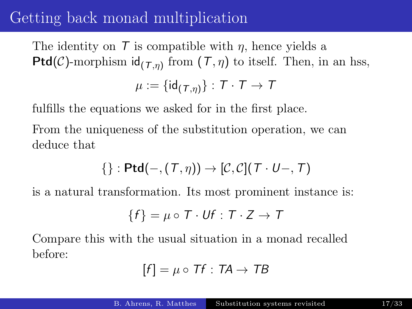### Getting back monad multiplication

The identity on  $\mathcal T$  is compatible with  $\eta$ , hence yields a **Ptd**(C)-morphism  $id_{(\mathcal{T}, \eta)}$  from  $(\mathcal{T}, \eta)$  to itself. Then, in an hss,

$$
\mu := \{\mathsf{id}_{(\mathcal{T},\eta)}\} : \mathcal{T} \cdot \mathcal{T} \to \mathcal{T}
$$

fulfills the equations we asked for in the first place.

From the uniqueness of the substitution operation, we can deduce that

$$
\{\}: \mathsf{Ptd}(-,(\mathcal{T},\eta)) \to [\mathcal{C},\mathcal{C}](\mathcal{T}\cdot U-, \mathcal{T})
$$

is a natural transformation. Its most prominent instance is:

$$
\{f\} = \mu \circ T \cdot Uf : T \cdot Z \to T
$$

Compare this with the usual situation in a monad recalled before:

$$
[f] = \mu \circ Tf : TA \to TB
$$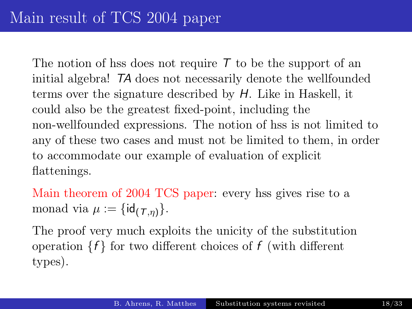The notion of hss does not require  $\tau$  to be the support of an initial algebra! TA does not necessarily denote the wellfounded terms over the signature described by H. Like in Haskell, it could also be the greatest fixed-point, including the non-wellfounded expressions. The notion of hss is not limited to any of these two cases and must not be limited to them, in order to accommodate our example of evaluation of explicit flattenings.

Main theorem of 2004 TCS paper: every hss gives rise to a monad via  $\mu := \{\mathsf{id}_{(T,n)}\}.$ 

The proof very much exploits the unicity of the substitution operation  $\{f\}$  for two different choices of f (with different types).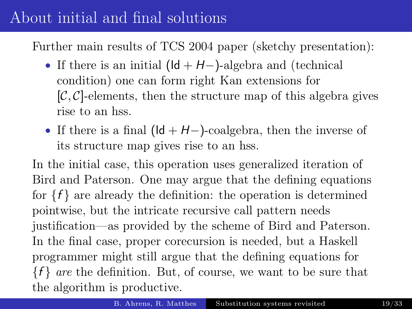### About initial and final solutions

Further main results of TCS 2004 paper (sketchy presentation):

- If there is an initial  $(\mathsf{Id} + \mathsf{H}-)$ -algebra and (technical condition) one can form right Kan extensions for  $[\mathcal{C}, \mathcal{C}]$ -elements, then the structure map of this algebra gives rise to an hss.
- If there is a final  $(\mathsf{Id} + \mathsf{H}-)$ -coalgebra, then the inverse of its structure map gives rise to an hss.

In the initial case, this operation uses generalized iteration of Bird and Paterson. One may argue that the defining equations for  ${f}$  are already the definition: the operation is determined pointwise, but the intricate recursive call pattern needs justification—as provided by the scheme of Bird and Paterson. In the final case, proper corecursion is needed, but a Haskell programmer might still argue that the defining equations for  ${f}$  are the definition. But, of course, we want to be sure that the algorithm is productive.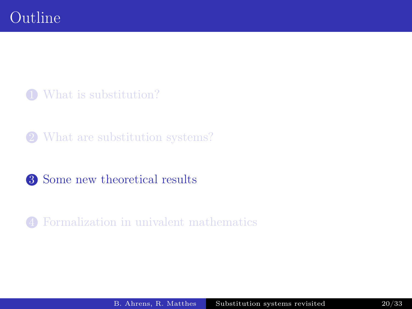[What is substitution?](#page-2-0)

[What are substitution systems?](#page-11-0)

[Some new theoretical results](#page-19-0)

<span id="page-19-0"></span>[Formalization in univalent mathematics](#page-24-0)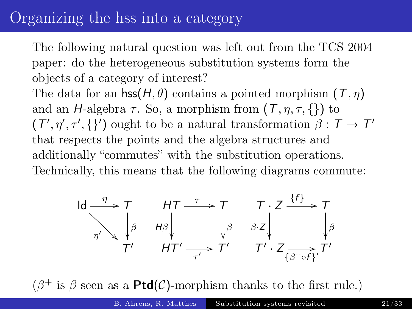#### Organizing the hss into a category

The following natural question was left out from the TCS 2004 paper: do the heterogeneous substitution systems form the objects of a category of interest?

The data for an  $\mathsf{hss}(H,\theta)$  contains a pointed morphism  $(\mathcal{T}, \eta)$ and an H-algebra  $\tau$ . So, a morphism from  $(T, \eta, \tau, \{\})$  to  $(T', \eta', \tau', \{\})$  ought to be a natural transformation  $\beta : T \to T'$ that respects the points and the algebra structures and additionally "commutes" with the substitution operations. Technically, this means that the following diagrams commute:

$$
\begin{array}{ccc}\n\operatorname{Id} & \xrightarrow{\eta} & \tau & \text{HT} \xrightarrow{\tau} & \tau & \tau \cdot Z \xrightarrow{\{f\}} & \tau \\
\uparrow{\beta} & \downarrow{\beta} & \downarrow{\beta} & \downarrow{\beta} & \text{BZ} \\
\uparrow{\gamma'} & \uparrow{\gamma'} & \text{HT'} \xrightarrow{\tau'} & \text{T'} & \text{CZ} \\
\downarrow{\beta} & \uparrow{\gamma'} & \downarrow{\gamma'} & \text{CZ} \\
\downarrow{\beta} & \downarrow{\beta} & \downarrow{\beta'}\n\end{array}
$$

 $(\beta^+$  is  $\beta$  seen as a **Ptd**(*C*)-morphism thanks to the first rule.)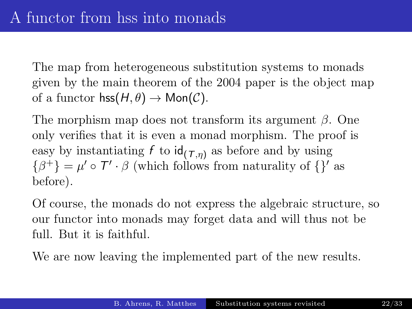The map from heterogeneous substitution systems to monads given by the main theorem of the 2004 paper is the object map of a functor  $\mathsf{hss}(H,\theta) \to \mathsf{Mon}(\mathcal{C})$ .

The morphism map does not transform its argument  $\beta$ . One only verifies that it is even a monad morphism. The proof is easy by instantiating f to  $id_{(T,\eta)}$  as before and by using  $\{\beta^+\} = \mu' \circ \mathcal{T}' \cdot \beta$  (which follows from naturality of  $\{\}$ ' as before).

Of course, the monads do not express the algebraic structure, so our functor into monads may forget data and will thus not be full. But it is faithful.

We are now leaving the implemented part of the new results.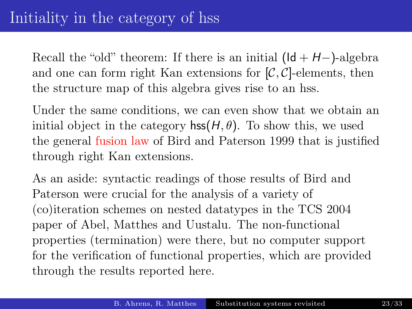Recall the "old" theorem: If there is an initial  $(\mathsf{Id} + \mathsf{H}-)$ -algebra and one can form right Kan extensions for  $[\mathcal{C}, \mathcal{C}]$ -elements, then the structure map of this algebra gives rise to an hss.

Under the same conditions, we can even show that we obtain an initial object in the category  $\mathsf{hss}(H,\theta)$ . To show this, we used the general fusion law of Bird and Paterson 1999 that is justified through right Kan extensions.

As an aside: syntactic readings of those results of Bird and Paterson were crucial for the analysis of a variety of (co)iteration schemes on nested datatypes in the TCS 2004 paper of Abel, Matthes and Uustalu. The non-functional properties (termination) were there, but no computer support for the verification of functional properties, which are provided through the results reported here.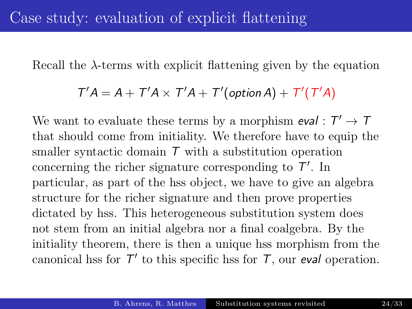Recall the  $\lambda$ -terms with explicit flattening given by the equation

#### $T'A = A + T'A \times T'A + T'(\text{option } A) + T'(T'A)$

We want to evaluate these terms by a morphism  $eval : T' \rightarrow T$ that should come from initiality. We therefore have to equip the smaller syntactic domain  $\tau$  with a substitution operation concerning the richer signature corresponding to  $T'$ . In particular, as part of the hss object, we have to give an algebra structure for the richer signature and then prove properties dictated by hss. This heterogeneous substitution system does not stem from an initial algebra nor a final coalgebra. By the initiality theorem, there is then a unique hss morphism from the canonical hss for  $T'$  to this specific hss for  $T$ , our eval operation.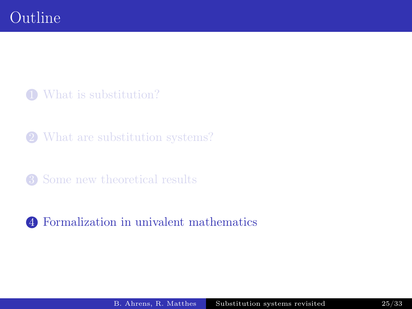[What is substitution?](#page-2-0)

[What are substitution systems?](#page-11-0)

[Some new theoretical results](#page-19-0)

<span id="page-24-0"></span>[Formalization in univalent mathematics](#page-24-0)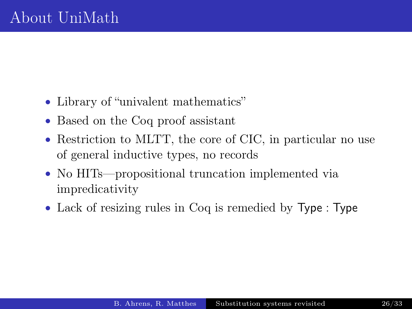- Library of "univalent mathematics"
- Based on the Coq proof assistant
- Restriction to MLTT, the core of CIC, in particular no use of general inductive types, no records
- No HITs—propositional truncation implemented via impredicativity
- Lack of resizing rules in Coq is remedied by Type : Type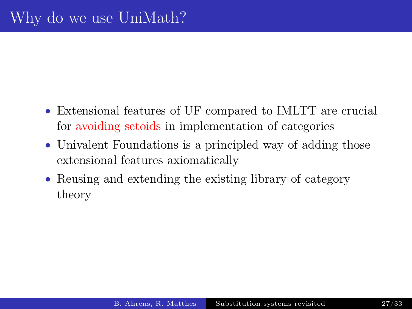- Extensional features of UF compared to IMLTT are crucial for avoiding setoids in implementation of categories
- Univalent Foundations is a principled way of adding those extensional features axiomatically
- Reusing and extending the existing library of category theory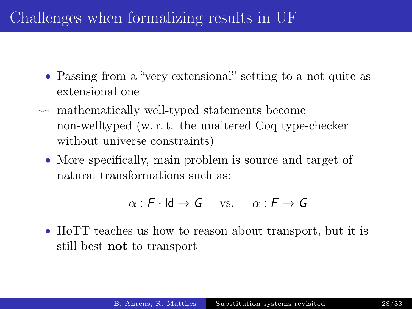# Challenges when formalizing results in UF

- Passing from a "very extensional" setting to a not quite as extensional one
- $\rightsquigarrow$  mathematically well-typed statements become non-welltyped (w. r. t. the unaltered Coq type-checker without universe constraints)
	- More specifically, main problem is source and target of natural transformations such as:

 $\alpha$  : F · Id  $\rightarrow$  G vs.  $\alpha$  : F  $\rightarrow$  G

• HoTT teaches us how to reason about transport, but it is still best not to transport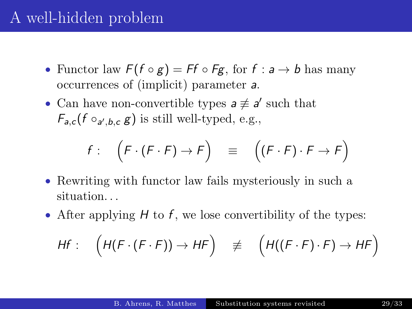### A well-hidden problem

- Functor law  $F(f \circ g) = Ff \circ Fg$ , for  $f : a \to b$  has many occurrences of (implicit) parameter a.
- Can have non-convertible types  $a \not\equiv a'$  such that  $F_{a,c}(f \circ_{a',b,c} g)$  is still well-typed, e.g.,

$$
f: \left(F \cdot (F \cdot F) \to F\right) \equiv \left((F \cdot F) \cdot F \to F\right)
$$

- Rewriting with functor law fails mysteriously in such a situation. . .
- After applying  $H$  to f, we lose convertibility of the types:

$$
Hf: \left(H(F \cdot (F \cdot F)) \to HF\right) \quad \not\equiv \left(H((F \cdot F) \cdot F) \to HF\right)
$$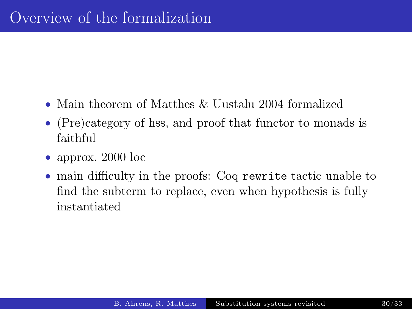- Main theorem of Matthes & Uustalu 2004 formalized
- (Pre)category of hss, and proof that functor to monads is faithful
- approx. 2000 loc
- main difficulty in the proofs: Coq rewrite tactic unable to find the subterm to replace, even when hypothesis is fully instantiated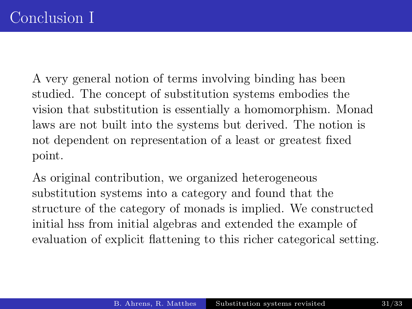A very general notion of terms involving binding has been studied. The concept of substitution systems embodies the vision that substitution is essentially a homomorphism. Monad laws are not built into the systems but derived. The notion is not dependent on representation of a least or greatest fixed point.

As original contribution, we organized heterogeneous substitution systems into a category and found that the structure of the category of monads is implied. We constructed initial hss from initial algebras and extended the example of evaluation of explicit flattening to this richer categorical setting.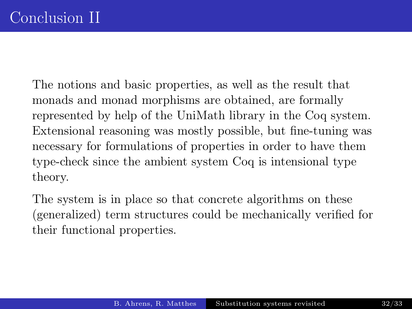The notions and basic properties, as well as the result that monads and monad morphisms are obtained, are formally represented by help of the UniMath library in the Coq system. Extensional reasoning was mostly possible, but fine-tuning was necessary for formulations of properties in order to have them type-check since the ambient system Coq is intensional type theory.

The system is in place so that concrete algorithms on these (generalized) term structures could be mechanically verified for their functional properties.